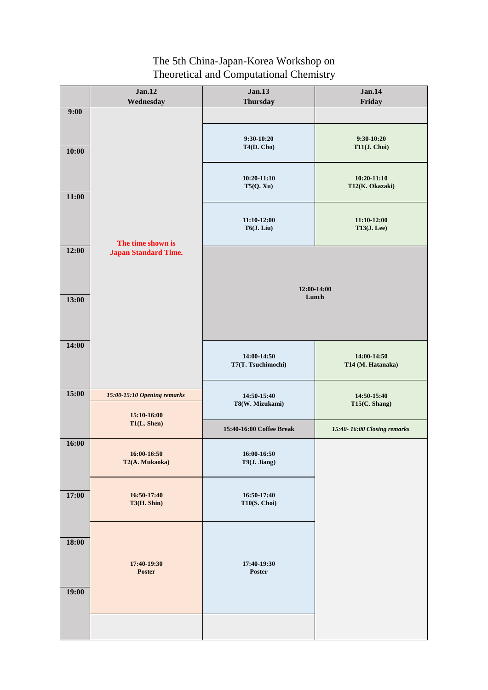|       | <b>Jan.12</b>                                    | <b>Jan.13</b>                     | <b>Jan.14</b>                       |
|-------|--------------------------------------------------|-----------------------------------|-------------------------------------|
| 9:00  | Wednesday                                        | <b>Thursday</b>                   | Friday                              |
| 10:00 | The time shown is<br><b>Japan Standard Time.</b> | $9:30-10:20$<br>T4(D. Cho)        | $9:30-10:20$<br>T11(J. Choi)        |
| 11:00 |                                                  | $10:20-11:10$<br>T5(Q, Xu)        | $10:20-11:10$<br>T12(K. Okazaki)    |
|       |                                                  | $11:10-12:00$<br>T6(J. Liu)       | $11:10-12:00$<br><b>T13(J. Lee)</b> |
| 12:00 |                                                  | 12:00-14:00<br>Lunch              |                                     |
| 13:00 |                                                  |                                   |                                     |
| 14:00 |                                                  | 14:00-14:50<br>T7(T. Tsuchimochi) | 14:00-14:50<br>T14 (M. Hatanaka)    |
| 15:00 | 15:00-15:10 Opening remarks                      | 14:50-15:40<br>T8(W. Mizukami)    | 14:50-15:40<br>T15(C. Shang)        |
|       | 15:10-16:00<br>T1(L. Shen)                       | 15:40-16:00 Coffee Break          | 15:40-16:00 Closing remarks         |
| 16:00 | 16:00-16:50<br>T2(A. Mukaoka)                    | 16:00-16:50<br>T9(J. Jiang)       |                                     |
| 17:00 | 16:50-17:40<br>T3(H. Shin)                       | 16:50-17:40<br>T10(S. Choi)       |                                     |
| 18:00 | 17:40-19:30<br><b>Poster</b>                     | 17:40-19:30<br><b>Poster</b>      |                                     |
| 19:00 |                                                  |                                   |                                     |
|       |                                                  |                                   |                                     |

# The 5th China-Japan-Korea Workshop on Theoretical and Computational Chemistry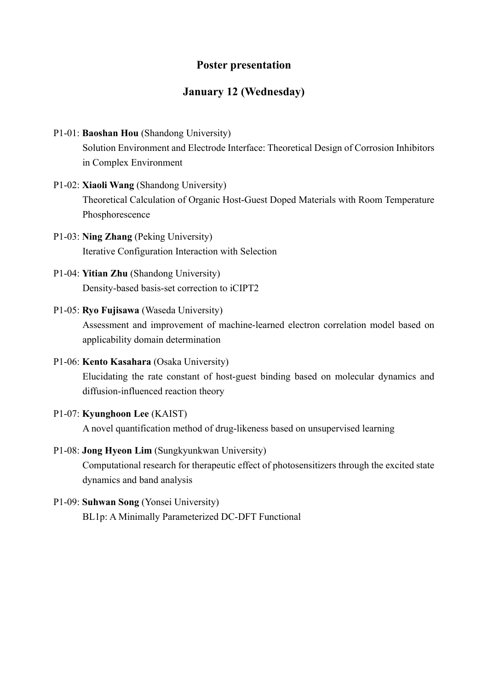## **Poster presentation**

# **January 12 (Wednesday)**

- P1-01: **Baoshan Hou** (Shandong University) Solution Environment and Electrode Interface: Theoretical Design of Corrosion Inhibitors in Complex Environment
- P1-02: **Xiaoli Wang** (Shandong University) Theoretical Calculation of Organic Host-Guest Doped Materials with Room Temperature Phosphorescence
- P1-03: **Ning Zhang** (Peking University) Iterative Configuration Interaction with Selection
- P1-04: **Yitian Zhu** (Shandong University) Density-based basis-set correction to iCIPT2

### P1-05: **Ryo Fujisawa** (Waseda University)

Assessment and improvement of machine-learned electron correlation model based on applicability domain determination

P1-06: **Kento Kasahara** (Osaka University) Elucidating the rate constant of host-guest binding based on molecular dynamics and diffusion-influenced reaction theory

## P1-07: **Kyunghoon Lee** (KAIST)

A novel quantification method of drug-likeness based on unsupervised learning

#### P1-08: **Jong Hyeon Lim** (Sungkyunkwan University)

Computational research for therapeutic effect of photosensitizers through the excited state dynamics and band analysis

#### P1-09: **Suhwan Song** (Yonsei University)

BL1p: A Minimally Parameterized DC-DFT Functional